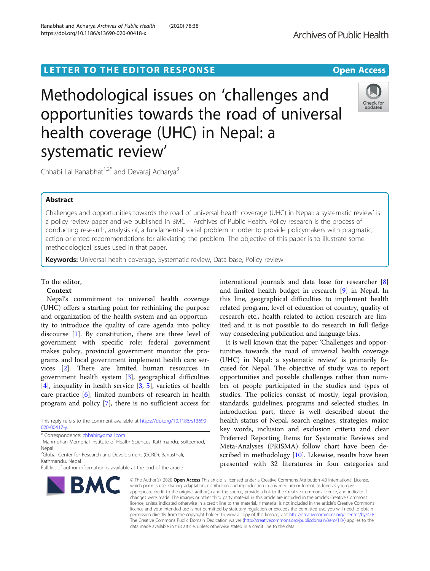# LETTER TO THE EDITOR RESPONSE EXAMPLE THE OPEN Access

Methodological issues on 'challenges and opportunities towards the road of universal health coverage (UHC) in Nepal: a systematic review'

Chhabi Lal Ranabhat<sup>1,2\*</sup> and Devaraj Acharya<sup>3</sup>

# Abstract

Challenges and opportunities towards the road of universal health coverage (UHC) in Nepal: a systematic review' is a policy review paper and we published in BMC – Archives of Public Health. Policy research is the process of conducting research, analysis of, a fundamental social problem in order to provide policymakers with pragmatic, action-oriented recommendations for alleviating the problem. The objective of this paper is to illustrate some methodological issues used in that paper.

Keywords: Universal health coverage, Systematic review, Data base, Policy review

# To the editor,

# Context

Nepal's commitment to universal health coverage (UHC) offers a starting point for rethinking the purpose and organization of the health system and an opportunity to introduce the quality of care agenda into policy discourse [\[1](#page-2-0)]. By constitution, there are three level of government with specific role: federal government makes policy, provincial government monitor the programs and local government implement health care services [\[2](#page-2-0)]. There are limited human resources in government health system [[3\]](#page-2-0), geographical difficulties [[4\]](#page-2-0), inequality in health service [\[3](#page-2-0), [5\]](#page-2-0), varieties of health care practice [[6\]](#page-2-0), limited numbers of research in health program and policy [[7](#page-2-0)], there is no sufficient access for

This reply refers to the comment available at [https://doi.org/10.1186/s13690-](https://doi.org/10.1186/s13690-020-00417-y) [020-00417-y](https://doi.org/10.1186/s13690-020-00417-y).

\* Correspondence: [chhabir@gmail.com](mailto:chhabir@gmail.com) <sup>1</sup>

<sup>1</sup>Manmohan Memorial Institute of Health Sciences, Kathmandu, Solteemod, Nepal

<sup>2</sup>Global Center for Research and Development (GCRD), Banasthali, Kathmandu, Nepal

Full list of author information is available at the end of the article

# international journals and data base for researcher [\[8](#page-2-0)] and limited health budget in research [[9\]](#page-2-0) in Nepal. In this line, geographical difficulties to implement health related program, level of education of country, quality of research etc., health related to action research are limited and it is not possible to do research in full fledge way consedering publication and language bias.

It is well known that the paper 'Challenges and opportunities towards the road of universal health coverage (UHC) in Nepal: a systematic review' is primarily focused for Nepal. The objective of study was to report opportunities and possible challenges rather than number of people participated in the studies and types of studies. The policies consist of mostly, legal provision, standards, guidelines, programs and selected studies. In introduction part, there is well described about the health status of Nepal, search engines, strategies, major key words, inclusion and exclusion criteria and clear Preferred Reporting Items for Systematic Reviews and Meta-Analyses (PRISMA) follow chart have been de-scribed in methodology [\[10](#page-2-0)]. Likewise, results have been presented with 32 literatures in four categories and

© The Author(s), 2020 **Open Access** This article is licensed under a Creative Commons Attribution 4.0 International License, which permits use, sharing, adaptation, distribution and reproduction in any medium or format, as long as you give appropriate credit to the original author(s) and the source, provide a link to the Creative Commons licence, and indicate if changes were made. The images or other third party material in this article are included in the article's Creative Commons licence, unless indicated otherwise in a credit line to the material. If material is not included in the article's Creative Commons licence and your intended use is not permitted by statutory regulation or exceeds the permitted use, you will need to obtain permission directly from the copyright holder. To view a copy of this licence, visit [http://creativecommons.org/licenses/by/4.0/.](http://creativecommons.org/licenses/by/4.0/) The Creative Commons Public Domain Dedication waiver [\(http://creativecommons.org/publicdomain/zero/1.0/](http://creativecommons.org/publicdomain/zero/1.0/)) applies to the data made available in this article, unless otherwise stated in a credit line to the data.



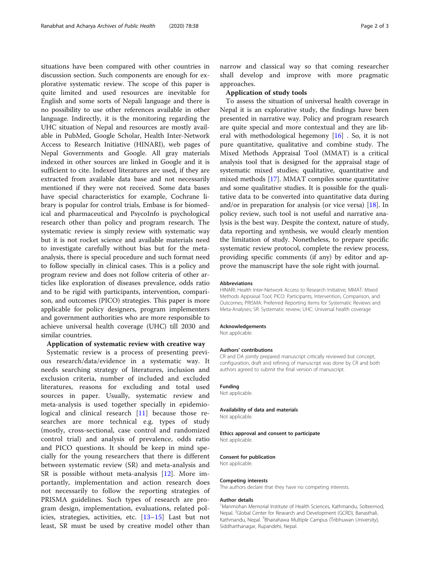situations have been compared with other countries in discussion section. Such components are enough for explorative systematic review. The scope of this paper is quite limited and used resources are inevitable for English and some sorts of Nepali language and there is no possibility to use other references available in other language. Indirectly, it is the monitoring regarding the UHC situation of Nepal and resources are mostly available in PubMed, Google Scholar, Health Inter-Network Access to Research Initiative (HINARI), web pages of Nepal Governments and Google. All gray materials indexed in other sources are linked in Google and it is sufficient to cite. Indexed literatures are used, if they are extracted from available data base and not necessarily mentioned if they were not received. Some data bases have special characteristics for example, Cochrane library is popular for control trials, Embase is for biomedical and pharmaceutical and PsycoInfo is psychological research other than policy and program research. The systematic review is simply review with systematic way but it is not rocket science and available materials need to investigate carefully without bias but for the metaanalysis, there is special procedure and such format need to follow specially in clinical cases. This is a policy and program review and does not follow criteria of other articles like exploration of diseases prevalence, odds ratio and to be rigid with participants, intervention, comparison, and outcomes (PICO) strategies. This paper is more applicable for policy designers, program implementers and government authorities who are more responsible to achieve universal health coverage (UHC) till 2030 and similar countries.

# Application of systematic review with creative way

Systematic review is a process of presenting previous research/data/evidence in a systematic way. It needs searching strategy of literatures, inclusion and exclusion criteria, number of included and excluded literatures, reasons for excluding and total used sources in paper. Usually, systematic review and meta-analysis is used together specially in epidemiological and clinical research [[11\]](#page-2-0) because those researches are more technical e.g. types of study (mostly, cross-sectional, case control and randomized control trial) and analysis of prevalence, odds ratio and PICO questions. It should be keep in mind specially for the young researchers that there is different between systematic review (SR) and meta-analysis and SR is possible without meta-analysis [[12\]](#page-2-0). More importantly, implementation and action research does not necessarily to follow the reporting strategies of PRISMA guidelines. Such types of research are program design, implementation, evaluations, related policies, strategies, activities, etc. [\[13](#page-2-0)–[15](#page-2-0)] Last but not least, SR must be used by creative model other than

narrow and classical way so that coming researcher shall develop and improve with more pragmatic approaches.

# Application of study tools

To assess the situation of universal health coverage in Nepal it is an explorative study, the findings have been presented in narrative way. Policy and program research are quite special and more contextual and they are liberal with methodological hegemony [\[16](#page-2-0)] . So, it is not pure quantitative, qualitative and combine study. The Mixed Methods Appraisal Tool (MMAT) is a critical analysis tool that is designed for the appraisal stage of systematic mixed studies; qualitative, quantitative and mixed methods [\[17\]](#page-2-0). MMAT compiles some quantitative and some qualitative studies. It is possible for the qualitative data to be converted into quantitative data during and/or in preparation for analysis (or vice versa)  $[18]$  $[18]$ . In policy review, such tool is not useful and narrative analysis is the best way. Despite the context, nature of study, data reporting and synthesis, we would clearly mention the limitation of study. Nonetheless, to prepare specific systematic review protocol, complete the review process, providing specific comments (if any) by editor and approve the manuscript have the sole right with journal.

# Abbreviations

HINARI: Health Inter-Network Access to Research Initiative; MMAT: Mixed Methods Appraisal Tool; PICO: Participants, Intervention, Comparison, and Outcomes; PRISMA: Preferred Reporting Items for Systematic Reviews and Meta-Analyses; SR: Systematic review; UHC: Universal health coverage

### Acknowledgements

Not applicable.

## Authors' contributions

CR and DA jointly prepared manuscript critically reviewed but concept, configuration, draft and refining of manuscript was done by CR and both authors agreed to submit the final version of manuscript.

# Funding

Not applicable.

#### Availability of data and materials

Not applicable.

#### Ethics approval and consent to participate Not applicable.

## Consent for publication

Not applicable.

## Competing interests

The authors declare that they have no competing interests.

### Author details

<sup>1</sup> Manmohan Memorial Institute of Health Sciences, Kathmandu, Solteemod, Nepal. <sup>2</sup>Global Center for Research and Development (GCRD), Banasthali Kathmandu, Nepal. <sup>3</sup>Bhairahawa Multiple Campus (Tribhuwan University), Siddharthanagar, Rupandehi, Nepal.